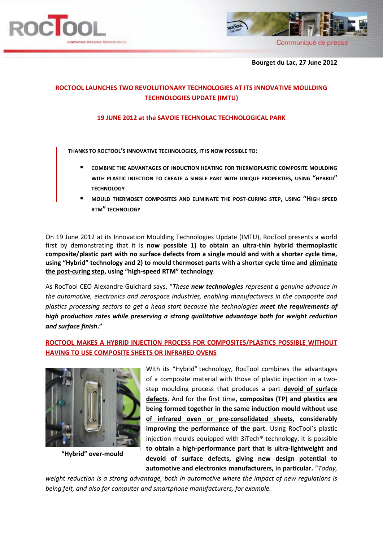



 **Bourget du Lac, 27 June 2012**

# **ROCTOOL LAUNCHES TWO REVOLUTIONARY TECHNOLOGIES AT ITS INNOVATIVE MOULDING TECHNOLOGIES UPDATE (IMTU)**

### **19 JUNE 2012 at the SAVOIE TECHNOLAC TECHNOLOGICAL PARK**

**THANKS TO ROCTOOL'S INNOVATIVE TECHNOLOGIES, IT IS NOW POSSIBLE TO:**

- **COMBINE THE ADVANTAGES OF INDUCTION HEATING FOR THERMOPLASTIC COMPOSITE MOULDING WITH PLASTIC INJECTION TO CREATE A SINGLE PART WITH UNIQUE PROPERTIES, USING "HYBRID" TECHNOLOGY**
- **MOULD THERMOSET COMPOSITES AND ELIMINATE THE POST-CURING STEP, USING "HIGH SPEED RTM" TECHNOLOGY**

On 19 June 2012 at its Innovation Moulding Technologies Update (IMTU), RocTool presents a world first by demonstrating that it is **now possible 1) to obtain an ultra-thin hybrid thermoplastic composite/plastic part with no surface defects from a single mould and with a shorter cycle time, using "Hybrid" technology and 2) to mould thermoset parts with a shorter cycle time and eliminate the post-curing step, using "high-speed RTM" technology**.

As RocTool CEO Alexandre Guichard says, "*These new technologies represent a genuine advance in the automotive, electronics and aerospace industries, enabling manufacturers in the composite and plastics processing sectors to get a head start because the technologies meet the requirements of high production rates while preserving a strong qualitative advantage both for weight reduction and surface finish***."**

# **ROCTOOL MAKES A HYBRID INJECTION PROCESS FOR COMPOSITES/PLASTICS POSSIBLE WITHOUT HAVING TO USE COMPOSITE SHEETS OR INFRARED OVENS**



**"Hybrid" over-mould**

With its "Hybrid" technology, RocTool combines the advantages of a composite material with those of plastic injection in a twostep moulding process that produces a part **devoid of surface defects**. And for the first time**, composites (TP) and plastics are being formed together in the same induction mould without use of infrared oven or pre-consolidated sheets, considerably improving the performance of the part.** Using RocTool's plastic injection moulds equipped with 3iTech® technology, it is possible **to obtain a high-performance part that is ultra-lightweight and devoid of surface defects, giving new design potential to automotive and electronics manufacturers, in particular.** "*Today,* 

*weight reduction is a strong advantage, both in automotive where the impact of new regulations is being felt, and also for computer and smartphone manufacturers, for example.*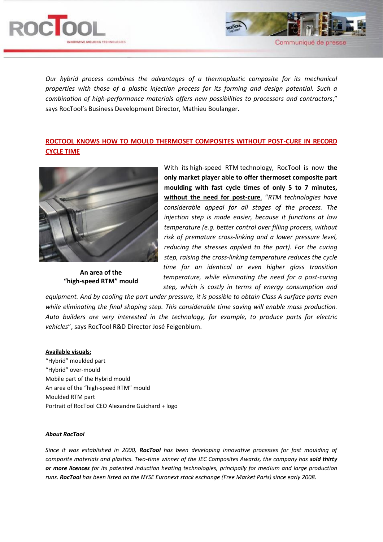



*Our hybrid process combines the advantages of a thermoplastic composite for its mechanical properties with those of a plastic injection process for its forming and design potential. Such a combination of high-performance materials offers new possibilities to processors and contractors*," says RocTool's Business Development Director, Mathieu Boulanger.

## **ROCTOOL KNOWS HOW TO MOULD THERMOSET COMPOSITES WITHOUT POST-CURE IN RECORD CYCLE TIME**



**An area of the "high-speed RTM" mould**

With its high-speed RTM technology, RocTool is now **the only market player able to offer thermoset composite part moulding with fast cycle times of only 5 to 7 minutes, without the need for post-cure**. "*RTM technologies have considerable appeal for all stages of the process. The injection step is made easier, because it functions at low temperature (e.g. better control over filling process, without risk of premature cross-linking and a lower pressure level, reducing the stresses applied to the part). For the curing step, raising the cross-linking temperature reduces the cycle time for an identical or even higher glass transition temperature, while eliminating the need for a post-curing step, which is costly in terms of energy consumption and* 

*equipment. And by cooling the part under pressure, it is possible to obtain Class A surface parts even while eliminating the final shaping step. This considerable time saving will enable mass production. Auto builders are very interested in the technology, for example, to produce parts for electric vehicles*", says RocTool R&D Director José Feigenblum.

### **Available visuals:**

"Hybrid" moulded part "Hybrid" over-mould Mobile part of the Hybrid mould An area of the "high-speed RTM" mould Moulded RTM part Portrait of RocTool CEO Alexandre Guichard + logo

#### *About RocTool*

*Since it was established in 2000, RocTool has been developing innovative processes for fast moulding of composite materials and plastics. Two-time winner of the JEC Composites Awards, the company has sold thirty or more licences for its patented induction heating technologies, principally for medium and large production runs. RocTool has been listed on the NYSE Euronext stock exchange (Free Market Paris) since early 2008.*